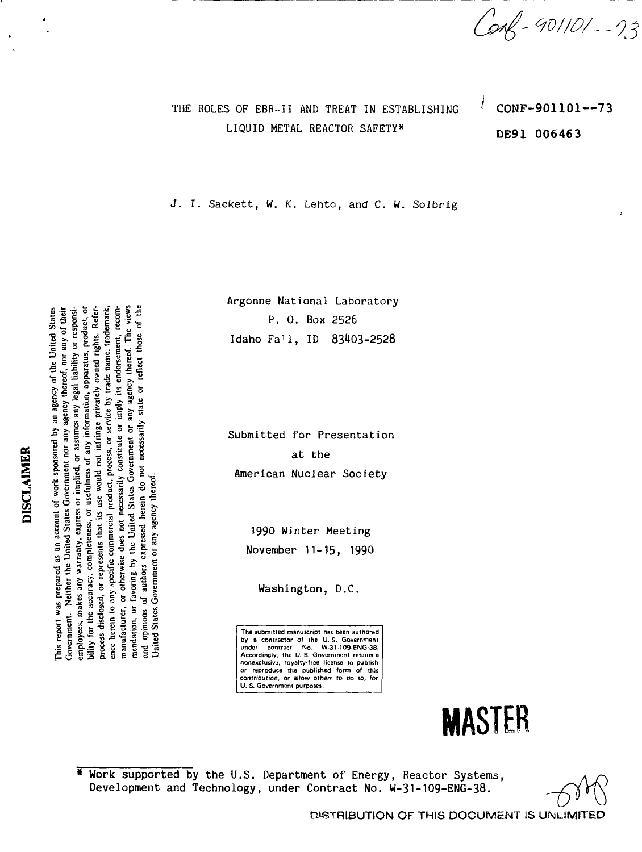*- WI ID/..* **-** *03*

# THE ROLES OF EBR-II AND TREAT IN ESTABLISHING LIQUID METAL REACTOR SAFETY\*

CONF-901101--73 DE91 006463

ţ

J. I. Sackett, W. K. Lento, and C. W. Solbrig

Argonne National Laboratory P. 0. Box 2526 Idaho Fa'l, ID 83403-252<mark>8</mark>

Submitted for Presentation at the American Nuclear Society

> 1990 Winter Meeting November 11-15, 1990

> > Washington, D.C.

The submitted manuscript has been authored by a contractor of the U. S. Government under contract No. W-31 -109-ENG-38. Accordingly, the U. S. Government retains a nonexclusive, royalty-free license to publish reproduce the published form of this contribution, or allow others to do so, tor U. S. Government purposes.

## \* Work supported by the U.S. Department of Energy, Reactor Systems, Development and Technology, under Contract No. W-31-1O9-ENG-38.

DISTRIBUTION OF THIS DOCUMENT IS UNLIMITED

**MASTER**

**DISCLAIMER** 

employees, makes any warranty, express or unprison of any information, apparatus, product, or bility for the accuracy, completeness, or usefulness of any information, apparatus, product, or manuracturer, or otherwise views not recognize the content of any agency thereof. The views mendation, or favoring by the United States Government or any agency thereof. The views bility for the accuracy, completeness, or assessments of the complete privately owned rights. Refer-<br>process disclosed, or represents that its use would not infringe privately owned rights. Referprocess absoluted, or represents and the ward control process, or service by trade name, trademark, and the me<br>ence herein to any specific commercial product, process, or service by trade name, trademark, ence nerem to any specular common the process recording on imply its endorsement, recom-<br>manufacturer, or otherwise does not necessarily constitute or imply its endorsement, recommentation, or ravoring by the viting states of the measurity state or reflect those of the<br>and opinions of authors expressed herein do not necessarily state or reflect those of the This report was prepared as an account of work sponsored by an agency of the United States Interferent was prepared as an account of the term of any agency thereof, nor any of their Government. Neither the United States Government nor any agency thereof, nor any of their Government. Nettier the Olitica States Oorcumum issumes any legal liability or responsi-<br>employees, makes any warraaty, express or implied, or assumes any legal liability or responsi-Jnited States Government or any agency thereof.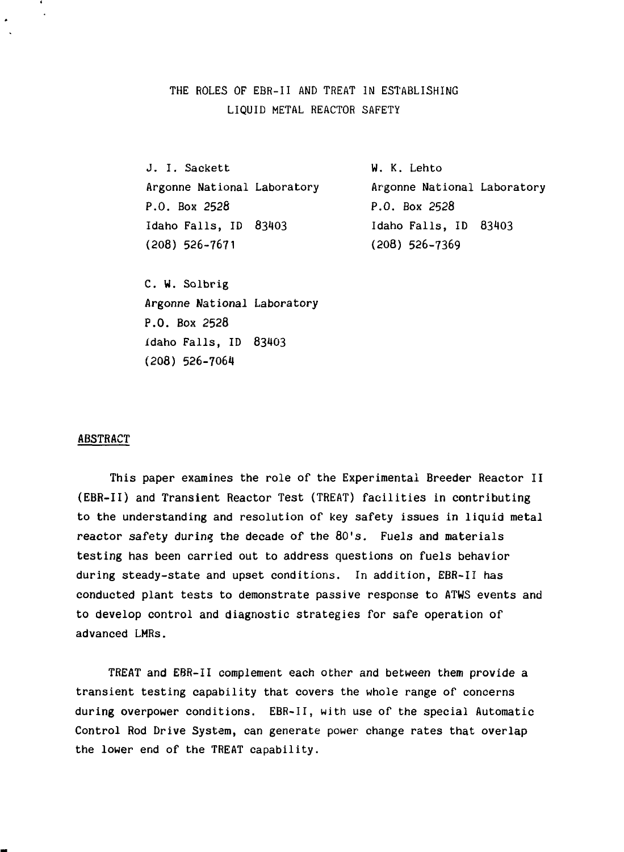# THE ROLES OF EBR-II AND TREAT IN ESTABLISHING LIQUID METAL REACTOR SAFETY

J. I. Sackett W. K. Lehto P.O. Box 2528 P.O. Box 2528 Idaho Falls, ID 83403 Idaho Falls, ID 83103 (208) 526-7671 (208) 526-7369

Argonne National Laboratory Argonne National Laboratory

C. W. Solbrig Argonne National Laboratory P.O. Box 2528 Idaho Falls, ID 83403 (208) 526-7064

#### ABSTRACT

This paper examines the role of the Experimental Breeder Reactor II (EBR-II) and Transient Reactor Test (TREAT) facilities in contributing to the understanding and resolution of key safety issues in liquid metal reactor safety during the decade of the 80's. Fuels and materials testing has been carried out to address questions on fuels behavior during steady-state and upset conditions. In addition, EBR-II has conducted plant tests to demonstrate passive response to ATWS events and to develop control and diagnostic strategies for safe operation of advanced LMRs.

TREAT and EBR-II complement each other and between them provide a transient testing capability that covers the whole range of concerns during overpower conditions. EBR-II, with use of the special Automatic Control Rod Drive System, can generate power change rates that overlap the lower end of the TREAT capability.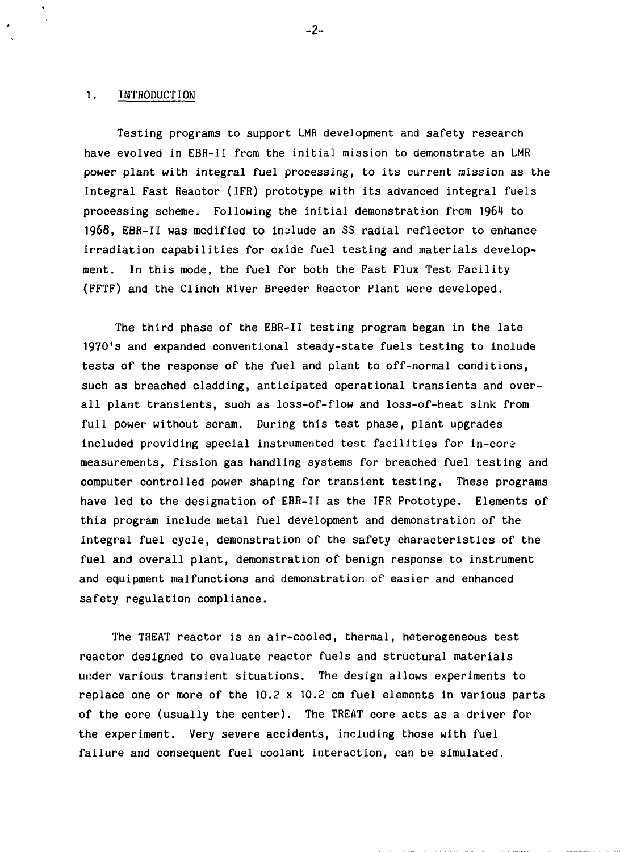#### 1. INTRODUCTION

Testing programs to support LMR development and safety research have evolved in EBR-II from the initial mission to demonstrate an LMR power plant with integral fuel processing, to its current mission as the Integral Fast Reactor (IFR) prototype with its advanced integral fuels processing scheme. Following the initial demonstration from 1964 to 1968, EBR-II was modified to include an SS radial reflector to enhance irradiation capabilities for oxide fuel testing and materials development. In this mode, the fuel for both the Fast Flux Test Facility (FFTF) and the Clinch River Breeder Reactor Plant were developed.

The third phase of the EBR-II testing program began in the late 1970's and expanded conventional steady-state fuels testing to include tests of the response of the fuel and plant to off-normal conditions, such as breached cladding, anticipated operational transients and overall plant transients, such as loss-of-flow and loss-of-heat sink from full power without scram. During this test phase, plant upgrades included providing special instrumented test facilities for in-core measurements, fission gas handling systems for breached fuel testing and computer controlled power shaping for transient testing. These programs have led to the designation of EBR-II as the IFR Prototype. Elements of this program include metal fuel development and demonstration of the integral fuel cycle, demonstration of the safety characteristics of the fuel and overall plant, demonstration of benign response to instrument and equipment malfunctions and demonstration of easier and enhanced safety regulation compliance.

The TREAT reactor is an air-cooled, thermal, heterogeneous test reactor designed to evaluate reactor fuels and structural materials under various transient situations. The design allows experiments to replace one or more of the 10.2 x 10.2 cm fuel elements in various parts of the core (usually the center). The TREAT core acts as a driver for the experiment. Very severe accidents, including those with fuel failure and consequent fuel coolant interaction, can be simulated.

-2-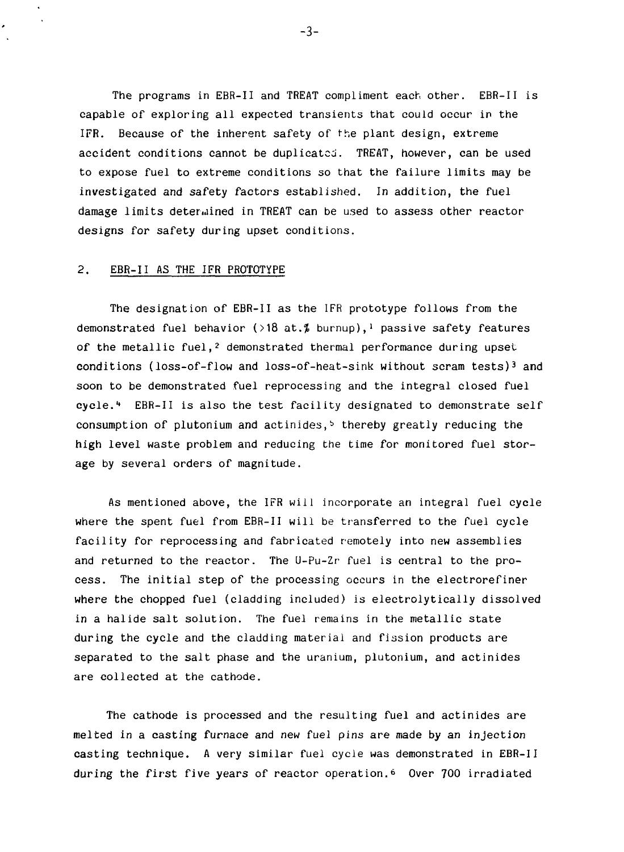The programs in EBR-II and TREAT compliment each other. EBR-II is capable of exploring all expected transients that could occur in the IFR. Because of the inherent safety of the plant design, extreme accident conditions cannot be duplicated. TREAT, however, can be used to expose fuel to extreme conditions so that the failure limits may be investigated and safety factors established. In addition, the fuel damage limits determined in TREAT can be used to assess other reactor designs for safety during upset conditions.

#### 2. EBR-II AS THE IFR PROTOTYPE

The designation of EBR-II as the IFR prototype follows from the demonstrated fuel behavior (>18 at.  $\sharp$  burnup),<sup>1</sup> passive safety features of the metallic fuel,<sup>2</sup> demonstrated thermal performance during upset conditions (loss-of-flow and loss-of-heat-sink without scram tests)<sup>3</sup> and soon to be demonstrated fuel reprocessing and the integral closed fuel cycle.<sup>4</sup> EBR-II is also the test facility designated to demonstrate self consumption of plutonium and actinides, $\frac{1}{2}$  thereby greatly reducing the high level waste problem and reducing the time for monitored fuel storage by several orders of magnitude.

As mentioned above, the IFR will incorporate an integral fuel cycle where the spent fuel from EBR-II will be transferred to the fuel cycle facility for reprocessing and fabricated remotely into new assemblies and returned to the reactor. The U-Pu-Zr fuel is central to the process. The initial step of the processing occurs in the electrorefiner where the chopped fuel (cladding included) is electrolytically dissolved in a halide salt solution. The fuel remains in the metallic state during the cycle and the cladding material and fission products are separated to the salt phase and the uranium, plutonium, and actinides are collected at the cathode.

The cathode is processed and the resulting fuel and actinides are melted in a casting furnace and new fuel pins are made by an injection casting technique. A very similar fuel cycle was demonstrated in EBR-II during the first five years of reactor operation.<sup>6</sup> Over 700 irradiated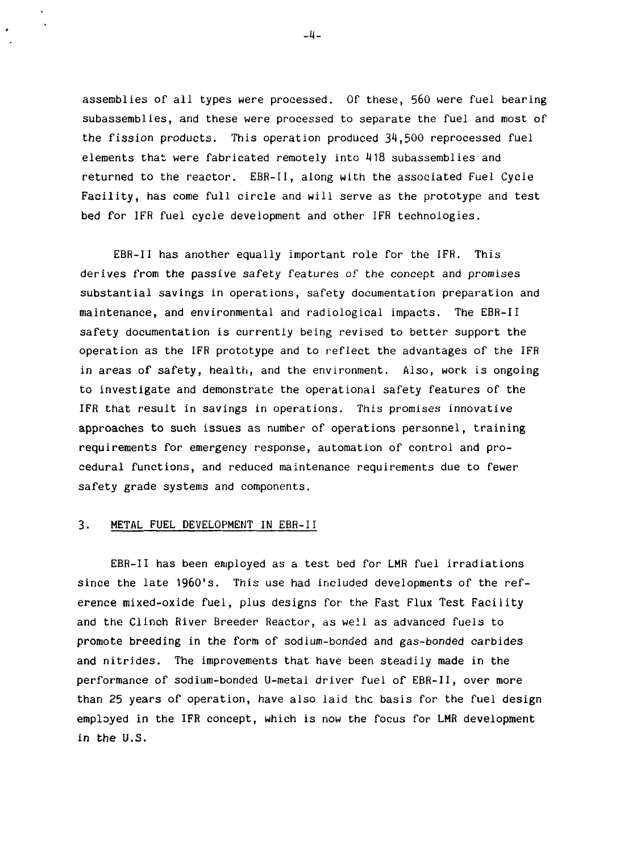assemblies of all types were processed. Of these, 560 were fuel bearing subassemblies, and these were processed to separate the fuel and most of the fission products. This operation produced 34,500 reprocessed fuel elements that were fabricated remotely into 418 subassemblies and returned to the reactor. EBR-II, along with the associated Fuel Cycle Facility, has come full circle and will serve as the prototype and test bed for IFR fuel cycle development and other IFR technologies.

EBR-II has another equally important role for the IFR. This derives from the passive safety features of the concept and promises substantial savings in operations, safety documentation preparation and maintenance, and environmental and radiological impacts. The EBR-II safety documentation is currently being revised to better support the operation as the IFR prototype and to reflect the advantages of the IFR in areas of safety, health, and the environment. Also, work is ongoing to investigate and demonstrate the operational safety features of the IFR that result in savings in operations. This promises innovative approaches to such issues as number of operations personnel, training requirements for emergency response, automation of control and procedural functions, and reduced maintenance requirements due to fewer safety grade systems and components.

#### 3. METAL FUEL DEVELOPMENT IN EBR-II

EBR-II has been employed as a test bed for LMR fuel irradiations since the late 1960's. This use had included developments of the reference mixed-oxide fuel, plus designs for the Fast Flux Test Facility and the Clinch River Breeder Reactor, as well as advanced fuels to promote breeding in the form of sodium-bonded and gas-bonded carbides and nitrides. The improvements that have been steadily made in the performance of sodium-bonded U-metal driver fuel of EBR-II, over more than 25 years of operation, have also laid the basis for the fuel design employed in the IFR concept, which is now the focus for **LMR** development in the U.S.

-4-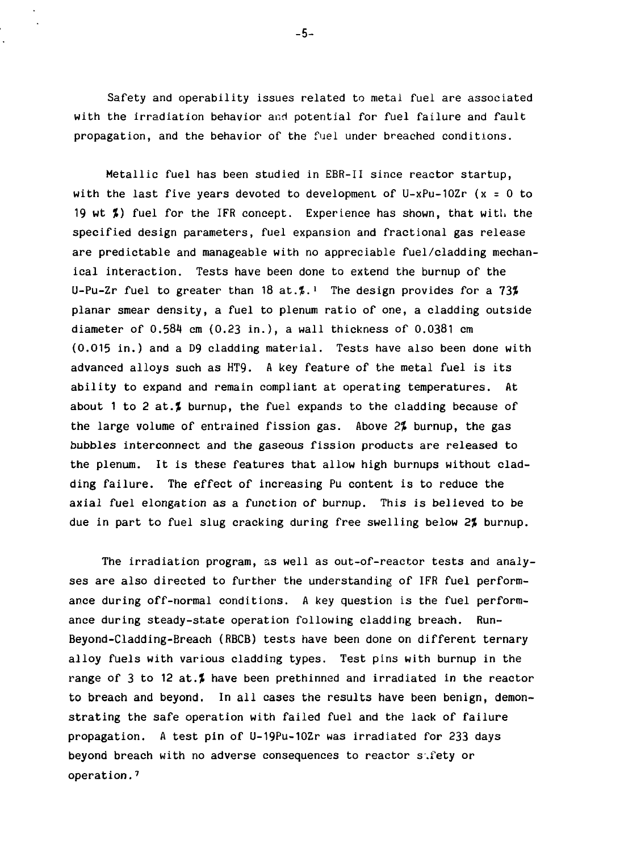Safety and operability issues related to metal fuel are associated with the irradiation behavior and potential for fuel failure and fault propagation, and the behavior of the fuel under breached conditions.

Metallic fuel has been studied in EBR-II since reactor startup, with the last five years devoted to development of  $U-xPu-10Zr$  (x = 0 to 19 wt %) fuel for the IFR concept. Experience has shown, that with the specified design parameters, fuel expansion and fractional gas release are predictable and manageable with no appreciable fuel/cladding mechanical interaction. Tests have been done to extend the burnup of the U-Pu-Zr fuel to greater than 18 at. $\sharp$ .<sup>1</sup> The design provides for a 73 $\sharp$ planar smear density, a fuel to plenum ratio of one, a cladding outside diameter of 0.584 cm (0.23 in.), a wall thickness of 0.0381 cm (0.015 in.) and a D9 cladding material. Tests have also been done with advanced alloys such as HT9. A key feature of the metal fuel is its ability to expand and remain compliant at operating temperatures. At about 1 to 2 at. $\sharp$  burnup, the fuel expands to the cladding because of the large volume of entrained fission gas. Above 2% burnup, the gas bubbles interconnect and the gaseous fission products are released to the plenum. It is these features that allow high burnups without cladding failure. The effect of increasing Pu content is to reduce the axial fuel elongation as a function of burnup. This is believed to be due in part to fuel slug cracking during free swelling below 2% burnup.

The irradiation program, as well as out-of-reactor tests and analyses are also directed to further the understanding of IFR fuel performance during off-normal conditions. A key question is the fuel performance during steady-state operation following cladding breach. Run-Beyond-Cladding-Breach (RBCB) tests have been done on different ternary alloy fuels with various cladding types. Test pins with burnup in the range of 3 to 12 at.<sup> $\sharp$ </sup> have been prethinned and irradiated in the reactor to breach and beyond. In all cases the results have been benign, demonstrating the safe operation with failed fuel and the lack of failure propagation. A test pin of U-19Pu-10Zr was irradiated for 233 days beyond breach with no adverse consequences to reactor safety or operation.<sup>7</sup>

-5-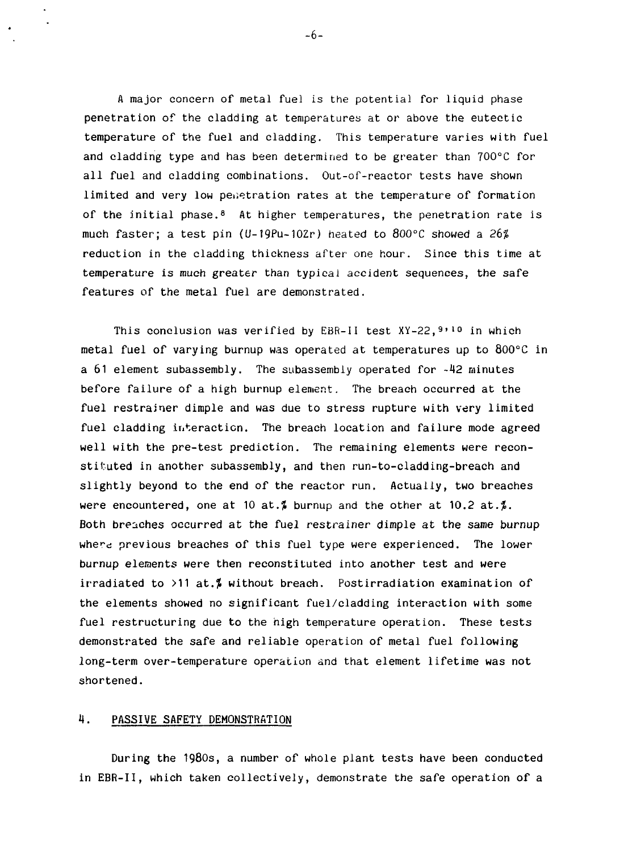A major concern of metal fuel is the potential for liquid phase penetration of the cladding at temperatures at or above the eutectic temperature of the fuel and cladding. This temperature varies with fuel and cladding type and has been determined to be greater than 700°C for all fuel and cladding combinations. Out-of-reactor tests have shown limited and very low penetration rates at the temperature of formation of the initial phase.<sup>8</sup> At higher temperatures, the penetration rate is much faster; a test pin (U-19Pu-10Zr) heated to 800°C showed a 26% reduction in the cladding thickness after one hour. Since this time at temperature is much greater than typical accident sequences, the safe features of the metal fuel are demonstrated.

This conclusion was verified by EBR-II test XY-22, 9'<sup>10</sup> in which metal fuel of varying burnup was operated at temperatures up to 800°C in a  $61$  element subassembly. The subassembly operated for  $-42$  minutes before failure of a high burnup element. The breach occurred at the fuel restrainer dimple and was due to stress rupture with very limited fuel cladding interaction. The breach location and failure mode agreed well with the pre-test prediction. The remaining elements were reconstituted in another subassembly, and then run-to-cladding-breach and slightly beyond to the end of the reactor run. Actually, two breaches were encountered, one at 10 at.% burnup and the other at 10.2 at.%. Both breaches occurred at the fuel restrainer dimple at the same burnup where previous breaches of this fuel type were experienced. The lower burnup elements were then reconstituted into another test and were irradiated to  $>11$  at.<sup> $\ell$ </sup> without breach. Postirradiation examination of the elements showed no significant fuel/cladding interaction with some fuel restructuring due to the high temperature operation. These tests demonstrated the safe and reliable operation of metal fuel following long-term over-temperature operation and that element lifetime was not shortened.

#### H. PASSIVE SAFETY DEMONSTRATION

During the 1980s, a number of whole plant tests have been conducted in EBR-II, which taken collectively, demonstrate the safe operation of a

-6-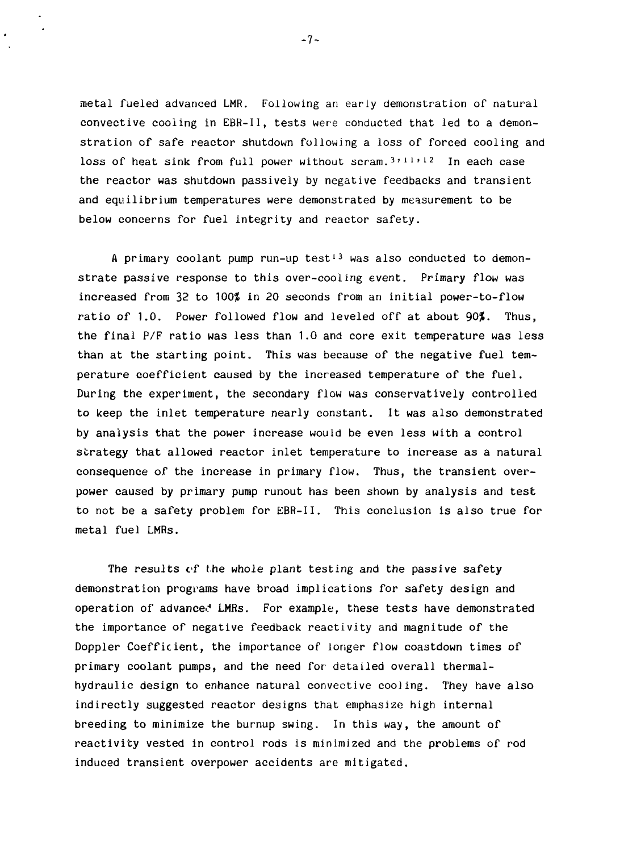metal fueled advanced LMR. Following an early demonstration of natural convective cooling in EBR-II, tests were conducted that led to a demonstration of safe reactor shutdown following a loss of forced cooling and loss of heat sink from full power without scram.<sup>3,11,12</sup> In each case the reactor was shutdown passively by negative feedbacks and transient and equilibrium temperatures were demonstrated by measurement to be below concerns for fuel integrity and reactor safety.

A primary coolant pump run-up test<sup>13</sup> was also conducted to demonstrate passive response to this over-cooling event. Primary flow was increased from 32 to 100% in 20 seconds from an initial power-to-flow ratio of 1.0. Power followed flow and leveled off at about 90%. Thus, the final P/F ratio was less than 1.0 and core exit temperature was less than at the starting point. This was because of the negative fuel temperature coefficient caused by the increased temperature of the fuel. During the experiment, the secondary flow was conservatively controlled to keep the inlet temperature nearly constant. It was also demonstrated by analysis that the power increase would be even less with a control strategy that allowed reactor inlet temperature to increase as a natural consequence of the increase in primary flow. Thus, the transient overpower caused by primary pump runout has been shown by analysis and test to not be a safety problem for EBR-II. This conclusion is also true for metal fuel LMRs.

The results of the whole plant testing and the passive safety demonstration programs have broad implications for safety design and operation of advanced LMRs. For example, these tests have demonstrated the importance of negative feedback reactivity and magnitude of the Doppler Coefficient, the importance of longer flow coastdown times of primary coolant pumps, and the need for detailed overall thermalhydraulic design to enhance natural convective cooling. They have also indirectly suggested reactor designs that emphasize high internal breeding to minimize the burnup swing. In this way, the amount of reactivity vested in control rods is minimized and the problems of rod induced transient overpower accidents are mitigated.

-7-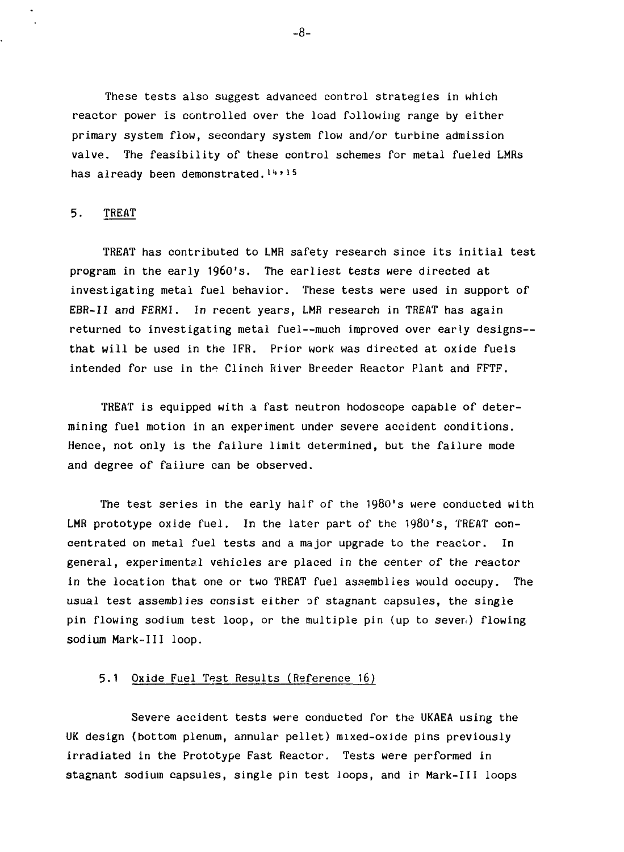These tests also suggest advanced control strategies in which reactor power is controlled over the load following range by either primary system flow, secondary system flow and/or turbine admission valve. The feasibility of these control schemes for metal fueled LMRs has already been demonstrated.<sup>14,15</sup>

### 5. TREAT

TREAT has contributed to LMR safety research since its initial test program in the early 196O's. The earliest tests were directed at investigating metal fuel behavior. These tests were used in support of EBR-II and FERMI. In recent years, LMR research in TREAT has again returned to investigating metal fuel—much improved over early designs that will be used in the IFR. Prior work was directed at oxide fuels intended for use in the Clinch River Breeder Reactor Plant and FFTF.

TREAT is equipped with a fast neutron hodoscope capable of determining fuel motion in an experiment under severe accident conditions. Hence, not only is the failure limit determined, but the failure mode and degree of failure can be observed.

The test series in the early half of the 198O's were conducted with LMR prototype oxide fuel. In the later part of the 1980's, TREAT concentrated on metal fuel tests and a major upgrade to the reactor. In general, experimental vehicles are placed in the center of the reactor in the location that one or two TREAT fuel assemblies would occupy. The usual test assemblies consist either of stagnant capsules, the single pin flowing sodium test loop, or the multiple pin (up to seven) flowing sodium Mark-Ill loop.

## 5.1 Oxide Fuel Test Results (Reference 16)

Severe accident tests were conducted for the UKAEA using the UK design (bottom plenum, annular pellet) mixed-oxide pins previously irradiated in the Prototype Fast Reactor. Tests were performed in stagnant sodium capsules, single pin test loops, and ir Mark-Ill loops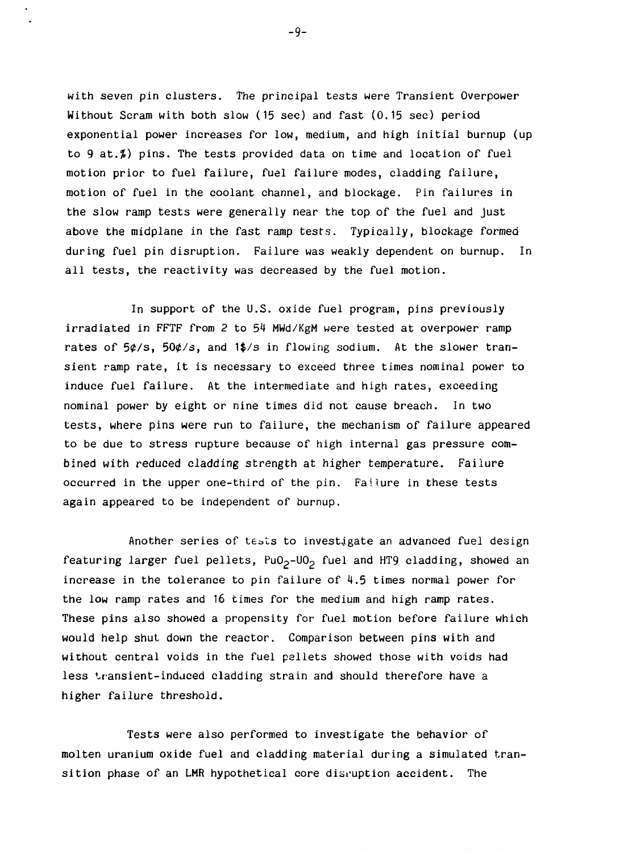with seven pin clusters. The principal tests were Transient Overpower Without Scram with both slow (15 sec) and fast (0.15 sec) period exponential power increases for low, medium, and high initial burnup (up to 9 at. $\sharp$ ) pins. The tests provided data on time and location of fuel motion prior to fuel failure, fuel failure modes, cladding failure, motion of fuel in the coolant channel, and blockage. Pin failures in the slow ramp tests were generally near the top of the fuel and just above the midplane in the fast ramp tests. Typically, blockage formed during fuel pin disruption. Failure was weakly dependent on burnup. In all tests, the reactivity was decreased by the fuel motion.

In support of the U.S. oxide fuel program, pins previously irradiated in FFTF from 2 to 54 MWd/KgM were tested at overpower ramp rates of  $5¢$ /s,  $50¢$ /s, and  $1$ \$/s in flowing sodium. At the slower transient ramp rate, it is necessary to exceed three times nominal power to induce fuel failure. At the intermediate and high rates, exceeding nominal power by eight or nine times did not cause breach. In two tests, where pins were run to failure, the mechanism of failure appeared to be due to stress rupture because of high internal gas pressure combined with reduced cladding strength at higher temperature. Failure occurred in the upper one-third of the pin. Failure in these tests again appeared to be independent of burnup.

Another series of tests to investigate an advanced fuel design featuring larger fuel pellets,  $PuO<sub>2</sub>-UO<sub>2</sub>$  fuel and HT9 cladding, showed an increase in the tolerance to pin failure of 4.5 times normal power for the low ramp rates and 16 times for the medium and high ramp rates. These pins also showed a propensity for fuel motion before failure which would help shut down the reactor. Comparison between pins with and without central voids in the fuel pallets showed those with voids had less transient-induced cladding strain and should therefore have a higher failure threshold.

Tests were also performed to investigate the behavior of molten uranium oxide fuel and cladding material during a simulated transition phase of an LMR hypothetical core disruption accident. The

-9-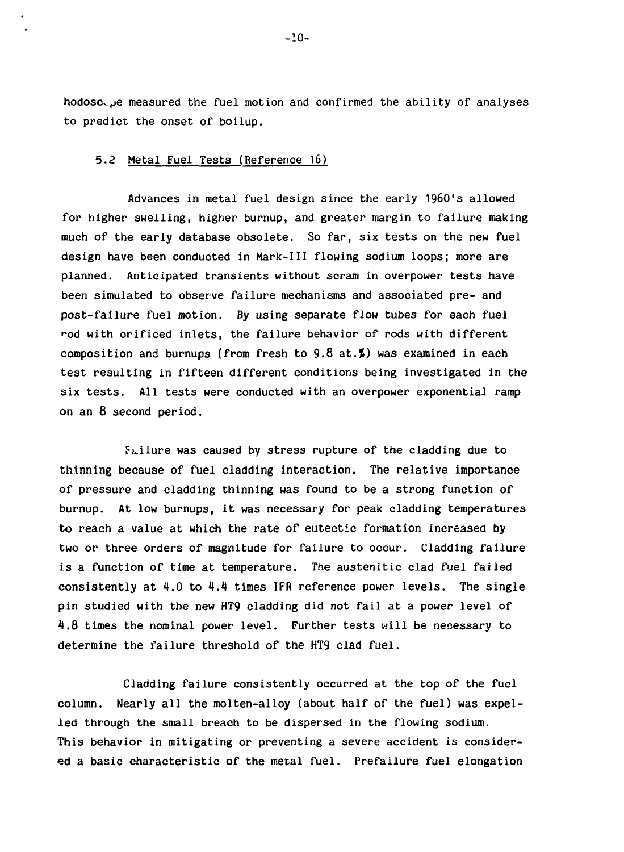e measured the fuel motion and confirmed the ability of analyses to predict the onset of boilup.

### 5.2 Metal Fuel Tests (Reference 16)

Advances in metal fuel design since the early 1960's allowed for higher swelling, higher burnup, and greater margin to failure making much of the early database obsolete. So far, six tests on the new fuel design have been conducted in Mark-Ill flowing sodium loops; more are planned. Anticipated transients without scram in overpower tests have been simulated to observe failure mechanisms and associated pre- and post-failure fuel motion. By using separate flow tubes for each fuel •~od with orificed inlets, the failure behavior of rods with different composition and burnups (from fresh to  $9.8$  at. $\rlap{1}$ ) was examined in each test resulting in fifteen different conditions being investigated in the six tests. All tests were conducted with an overpower exponential ramp on an 8 second period.

Failure was caused by stress rupture of the cladding due to thinning because of fuel cladding interaction. The relative importance of pressure and cladding thinning was found to be a strong function of burnup. At low burnups, it was necessary for peak cladding temperatures to reach a value at which the rate of eutectic formation increased by two or three orders of magnitude for failure to occur. Cladding failure is a function of time at temperature. The austenitic clad fuel failed consistently at  $4.0$  to  $4.4$  times IFR reference power levels. The single pin studied with the new HT9 cladding did not fail at a power level of 4.8 times the nominal power level. Further tests will be necessary to determine the failure threshold of the HT9 clad fuel.

Cladding failure consistently occurred at the top of the fuel column. Nearly all the molten-alloy (about half of the fuel) was expelled through the small breach to be dispersed in the flowing sodium. This behavior in mitigating or preventing a severe accident is considered a basic characteristic of the metal fuel. Prefailure fuel elongation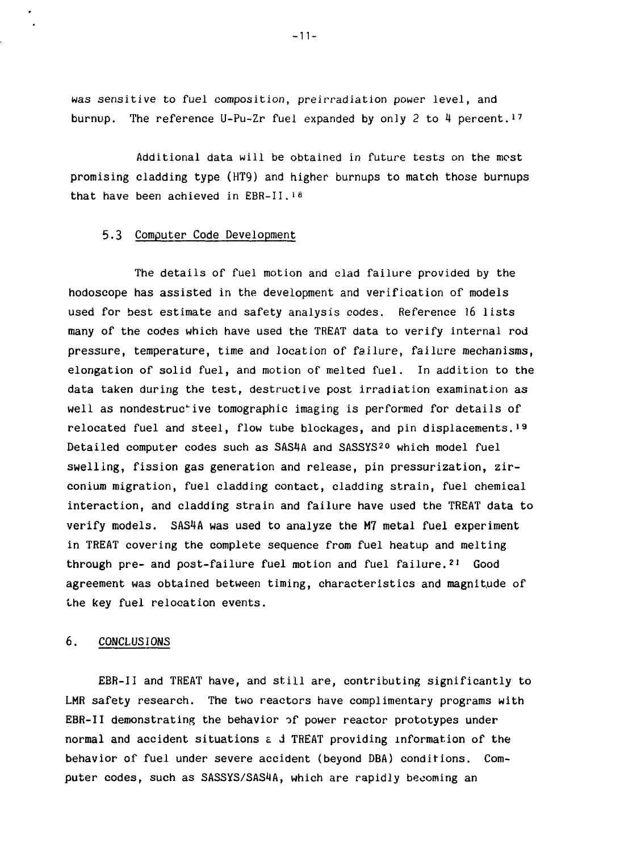was sensitive to fuel composition, preirradiation power level, and burnup. The reference U-Pu-Zr fuel expanded by only 2 to 4 percent.<sup>17</sup>

Additional data will be obtained in future tests on the most promising cladding type (HT9) and higher burnups to match those burnups that have been achieved in EBR-II.<sup>18</sup>

#### 5.3 Computer Code Development

The details of fuel motion and clad failure provided by the hodoscope has assisted in the development and verification of models used for best estimate and safety analysis codes. Reference 16 lists many of the codes which have used the TREAT data to verify internal rod pressure, temperature, time and location of failure, failure mechanisms, elongation of solid fuel, and motion of melted fuel. In addition to the data taken during the test, destructive post irradiation examination as well as nondestructive tomographic imaging is performed for details of relocated fuel and steel, flow tube blockages, and pin displacements.<sup>19</sup> Detailed computer codes such as SAS4A and SASSYS<sup>20</sup> which model fuel swelling, fission gas generation and release, pin pressurization, zirconium migration, fuel cladding contact, cladding strain, fuel chemical interaction, and cladding strain and failure have used the TREAT data to verify models. SAS4A was used to analyze the M7 metal fuel experiment in TREAT covering the complete sequence from fuel heatup and melting through pre- and post-failure fuel motion and fuel failure.<sup>21</sup> Good agreement was obtained between timing, characteristics and magnitude of the key fuel relocation events.

#### 6. CONCLUSIONS

EBR-II and TREAT have, and still are, contributing significantly to LMR safety research. The two reactors have complimentary programs with EBR-II demonstrating the behavior of power reactor prototypes under normal and accident situations £ J TREAT providing information of the behavior of fuel under severe accident (beyond DBA) conditions. Computer codes, such as SASSYS/SAS4A, which are rapidly becoming an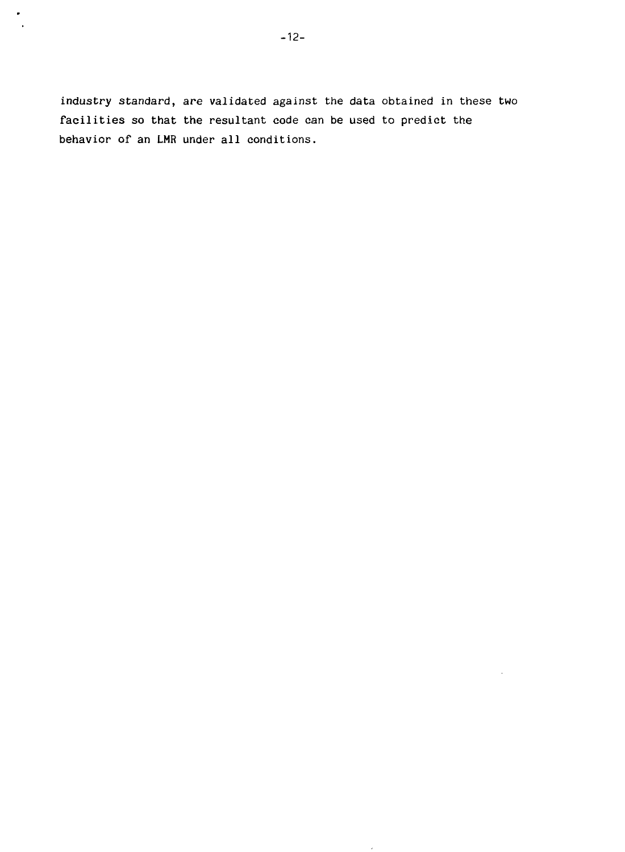$\bullet$  $\ddot{\phantom{a}}$ 

> industry standard, are validated against the data obtained in these two facilities so that the resultant code can be used to predict the behavior of an LMR under all conditions.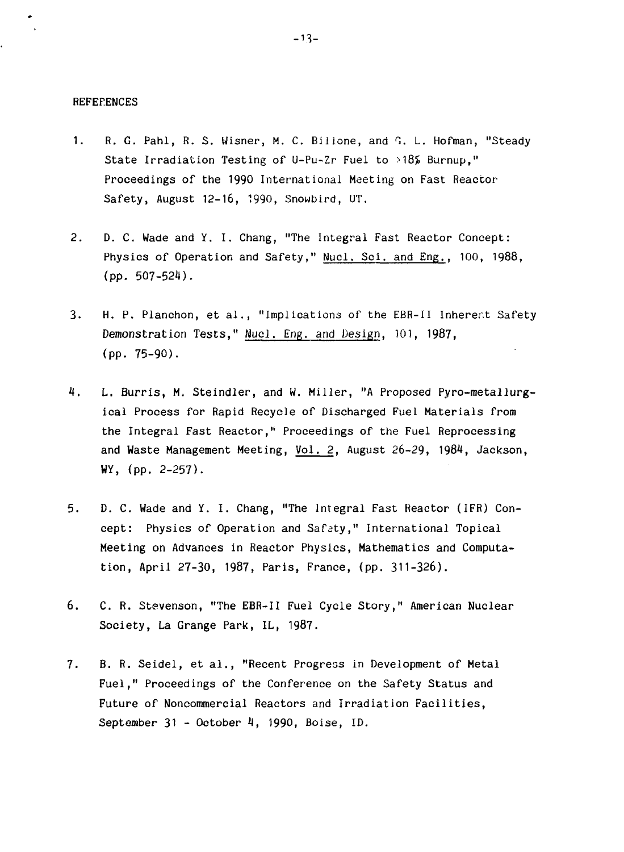#### **REFERENCES**

- 1. R. G. Pahl, R. S. Wisner, M. C. Billone, and G. L. Hofman, "Steady State Irradiation Testing of U-Pu-Zr Fuel to >18% Burnup," Proceedings of the 1990 International Meeting on Fast Reactor-Safety, August 12-16, 1990, Snowbird, UT.
- 2. D. C. Wade and Y. I. Chang, "The Integral Fast Reactor Concept: Physics of Operation and Safety," Nucl. Sci. and Eng., 100, 1988, (pp. 507-524).
- 3. H. P. Planchon, et al., "Implications of the EBR-II Inherent Safety Demonstration Tests," Nucl. Eng. and Design, 101, 1987, (pp. 75-90).
- 4. L. Burris, M. Steindler, and W. Miller, "A Proposed Pyro-metallurgical Process for Rapid Recycle of Discharged Fuel Materials from the Integral Fast Reactor," Proceedings of the Fuel Reprocessing and Waste Management Meeting, Vol. 2, August 26-29, 1984, Jackson, WY, (pp. 2-257).
- 5. D. C. Wade and Y. I. Chang, "The Integral Fast Reactor (IFR) Concept: Physics of Operation and Safety," International Topical Meeting on Advances in Reactor Physics, Mathematics and Computation, April 27-30, 1987, Paris, France, (pp. 311-326).
- 6. C. R. Stevenson, "The EBR-II Fuel Cycle Story," American Nuclear Society, La Grange Park, IL, 1987.
- 7. B. R. Seidel, et al., "Recent Progress in Development of Metal Fuel," Proceedings of the Conference on the Safety Status and Future of Noncommercial Reactors and Irradiation Facilities, September 31 - October 4, 1990, Boise, ID.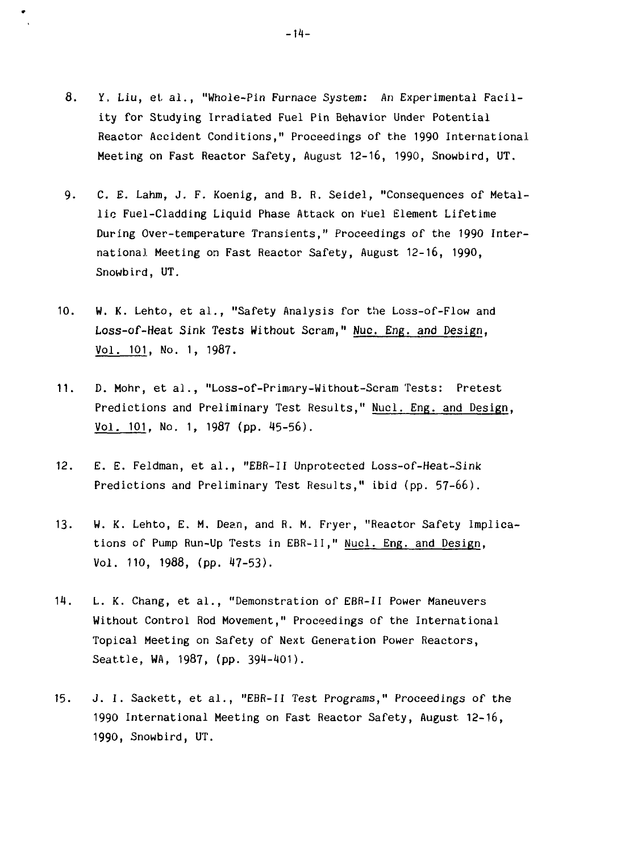- 8. Y, Liu, el al., "Whole-Pin Furnace System: An Experimental Facility for Studying Irradiated Fuel Pin Behavior Under Potential Reactor Accident Conditions," Proceedings of the 1990 International Meeting on Fast Reactor Safety, August 12-16, 1990, Snowbird, UT.
- 9. C. E. Lahm, J. F. Koenig, and B. R. Seidel, "Consequences of Metallic Fuel-Cladding Liquid Phase Attack on Fuel Element Lifetime During Over-temperature Transients," Proceedings of the 1990 International Meeting on Fast Reactor Safety, August 12-16, 1990, Snowbird, UT.
- 10. W. K. Lento, et al., "Safety Analysis for the Loss-of-Flow and Loss-of-Heat Sink Tests Without Scram," Nuc. Eng. and Design, Vol. 101. No. 1, 1987.
- 11. D. Mohr, et al., "Loss-of-Primary-Without-Scram Tests: Pretest Predictions and Preliminary Test Results," Nucl. Eng. and Design, Vol. 101, No. 1, 1987 (pp. 45-56).
- 12. E. E. Feldman, et al., "EBR-II Unprotected Loss-of-Heat-Sink Predictions and Preliminary Test Results," ibid (pp. 57-66).
- 13. W. K. Lento, E. M. Dean, and R. M. Fryer, "Reactor Safety Implications of Pump Run-Up Tests in EBR-II," Nucl. Eng. and Design, Vol. 110, 1988, (pp. 47-53).
- 14. L. K. Chang, et al., "Demonstration of EBR-II Power Maneuvers Without Control Rod Movement," Proceedings of the International Topical Meeting on Safety of Next Generation Power Reactors, Seattle, WA, 1987, (pp. 394-401).
- 15. J. I. Sackett, et al., "EBR-II Test Programs," Proceedings of the 1990 International Meeting on Fast Reactor Safety, August 12-16, 1990, Snowbird, UT.